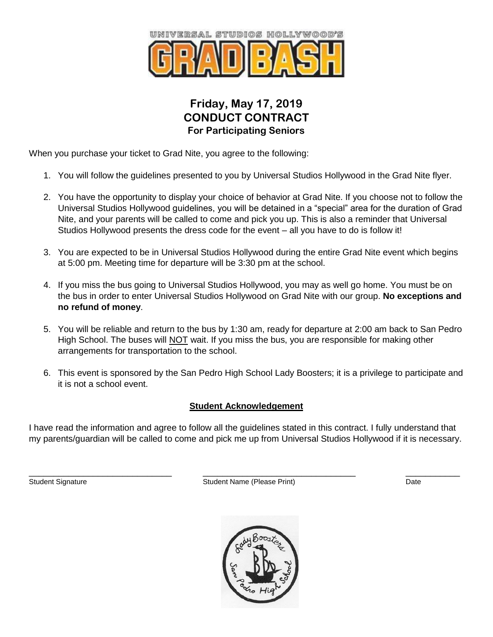

## **Friday, May 17, 2019 CONDUCT CONTRACT For Participating Seniors**

When you purchase your ticket to Grad Nite, you agree to the following:

- 1. You will follow the guidelines presented to you by Universal Studios Hollywood in the Grad Nite flyer.
- 2. You have the opportunity to display your choice of behavior at Grad Nite. If you choose not to follow the Universal Studios Hollywood guidelines, you will be detained in a "special" area for the duration of Grad Nite, and your parents will be called to come and pick you up. This is also a reminder that Universal Studios Hollywood presents the dress code for the event – all you have to do is follow it!
- 3. You are expected to be in Universal Studios Hollywood during the entire Grad Nite event which begins at 5:00 pm. Meeting time for departure will be 3:30 pm at the school.
- 4. If you miss the bus going to Universal Studios Hollywood, you may as well go home. You must be on the bus in order to enter Universal Studios Hollywood on Grad Nite with our group. **No exceptions and no refund of money**.
- 5. You will be reliable and return to the bus by 1:30 am, ready for departure at 2:00 am back to San Pedro High School. The buses will **NOT** wait. If you miss the bus, you are responsible for making other arrangements for transportation to the school.
- 6. This event is sponsored by the San Pedro High School Lady Boosters; it is a privilege to participate and it is not a school event.

## **Student Acknowledgement**

I have read the information and agree to follow all the guidelines stated in this contract. I fully understand that my parents/guardian will be called to come and pick me up from Universal Studios Hollywood if it is necessary.

\_\_\_\_\_\_\_\_\_\_\_\_\_\_\_\_\_\_\_\_\_\_\_\_\_\_\_\_\_ \_\_\_\_\_\_\_\_\_\_\_\_\_\_\_\_\_\_\_\_\_\_\_\_\_\_\_\_\_\_\_ \_\_\_\_\_\_\_\_\_\_\_ Student Signature **Student Name (Please Print)** Date Controller Name (Please Print)